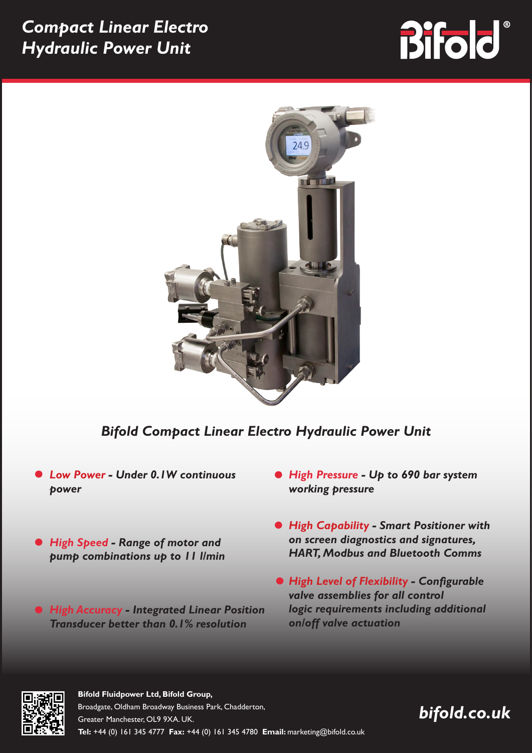## *Compact Linear Electro Hydraulic Power Unit*

# **Bifold**



## *Bifold Compact Linear Electro Hydraulic Power Unit*

- *Low Power Under 0.1W continuous power*
- *High Speed Range of motor and pump combinations up to 11 l/min*
- *High Accuracy Integrated Linear Position Transducer better than 0.1% resolution*
- *High Pressure Up to 690 bar system working pressure*
- *High Capability Smart Positioner with on screen diagnostics and signatures, HART, Modbus and Bluetooth Comms*
- *High Level of Flexibility Configurable valve assemblies for all control logic requirements including additional on/off valve actuation*



#### **Bifold Fluidpower Ltd, Bifold Group,** Broadgate, Oldham Broadway Business Park, Chadderton, Greater Manchester, OL9 9XA. UK. **Tel:** +44 (0) 161 345 4777 **Fax:** +44 (0) 161 345 4780 **Email:** marketing@bifold.co.uk

## *bifold.co.uk*